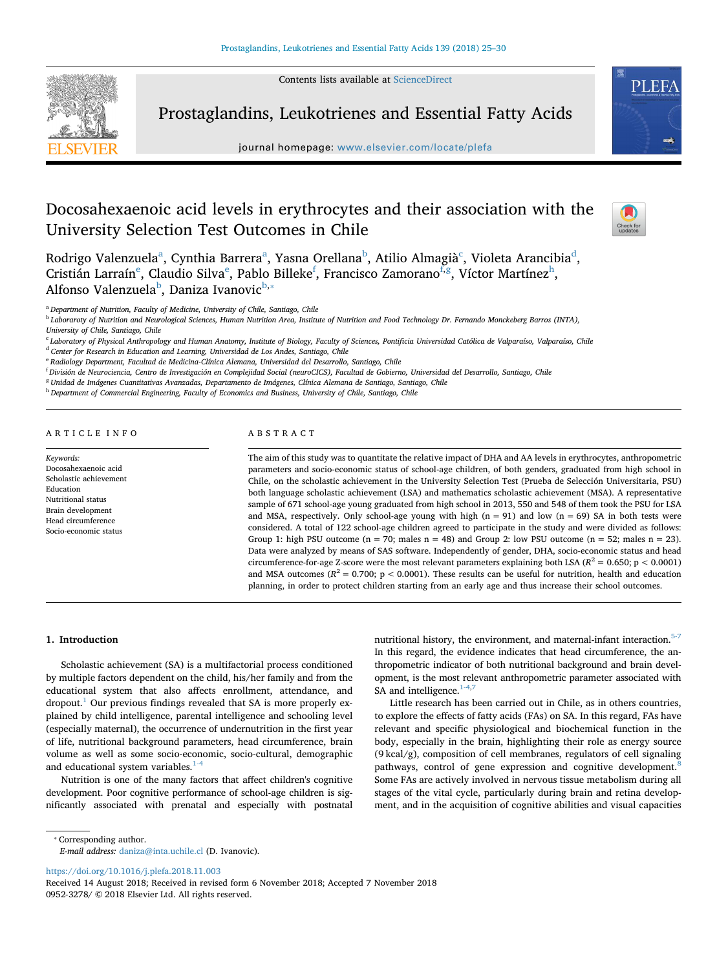Contents lists available at [ScienceDirect](http://www.sciencedirect.com/science/journal/09523278)



Prostaglandins, Leukotrienes and Essential Fatty Acids

journal homepage: [www.elsevier.com/locate/plefa](https://www.elsevier.com/locate/plefa)



 $\frac{N}{2}$ 

# Docosahexaenoic acid levels in erythrocytes and their association with the University Selection Test Outcomes in Chile

Rodrigo V[a](#page-0-0)lenzuela<sup>a</sup>, Cynthia Barrera<sup>a</sup>, Yasna Orellana<sup>b</sup>, Atilio Almagià<sup>c</sup>, Violeta Arancibia<sup>[d](#page-0-3)</sup>, Cristián Larraín<sup>e</sup>, Claudio Silva<sup>e</sup>, Pablo Billeke<sup>f</sup>, Francisco Zamorano<sup>f,g</sup>, Víctor Martí[ne](#page-0-4)z<sup>h</sup>, Alfonso Valenzuela<sup>[b](#page-0-1)</sup>, Daniza Ivanovic<sup>b,</sup>\*

<span id="page-0-0"></span><sup>a</sup> *Department of Nutrition, Faculty of Medicine, University of Chile, Santiago, Chile*

<span id="page-0-1"></span><sup>b</sup> *Laboraroty of Nutrition and Neurological Sciences, Human Nutrition Area, Institute of Nutrition and Food Technology Dr. Fernando Monckeberg Barros (INTA), University of Chile, Santiago, Chile*

<span id="page-0-3"></span><span id="page-0-2"></span><sup>c</sup> *Laboratory of Physical Anthropology and Human Anatomy, Institute of Biology, Faculty of Sciences, Pontificia Universidad Católica de Valparaíso, Valparaíso, Chile* <sup>d</sup> *Center for Research in Education and Learning, Universidad de Los Andes, Santiago, Chile*

<span id="page-0-4"></span><sup>e</sup> *Radiology Department, Facultad de Medicina-Clínica Alemana, Universidad del Desarrollo, Santiago, Chile*

<span id="page-0-5"></span>f *División de Neurociencia, Centro de Investigación en Complejidad Social (neuroCICS), Facultad de Gobierno, Universidad del Desarrollo, Santiago, Chile*

<span id="page-0-6"></span><sup>g</sup> *Unidad de Imágenes Cuantitativas Avanzadas, Departamento de Imágenes, Clínica Alemana de Santiago, Santiago, Chile*

<span id="page-0-7"></span><sup>h</sup> *Department of Commercial Engineering, Faculty of Economics and Business, University of Chile, Santiago, Chile*

# ARTICLE INFO

*Keywords:* Docosahexaenoic acid Scholastic achievement Education Nutritional status Brain development Head circumference Socio-economic status

# ABSTRACT

The aim of this study was to quantitate the relative impact of DHA and AA levels in erythrocytes, anthropometric parameters and socio-economic status of school-age children, of both genders, graduated from high school in Chile, on the scholastic achievement in the University Selection Test (Prueba de Selección Universitaria, PSU) both language scholastic achievement (LSA) and mathematics scholastic achievement (MSA). A representative sample of 671 school-age young graduated from high school in 2013, 550 and 548 of them took the PSU for LSA and MSA, respectively. Only school-age young with high  $(n = 91)$  and low  $(n = 69)$  SA in both tests were considered. A total of 122 school-age children agreed to participate in the study and were divided as follows: Group 1: high PSU outcome ( $n = 70$ ; males  $n = 48$ ) and Group 2: low PSU outcome ( $n = 52$ ; males  $n = 23$ ). Data were analyzed by means of SAS software. Independently of gender, DHA, socio-economic status and head circumference-for-age Z-score were the most relevant parameters explaining both LSA ( $R^2 = 0.650$ ; p < 0.0001) and MSA outcomes ( $R^2 = 0.700$ ; p < 0.0001). These results can be useful for nutrition, health and education planning, in order to protect children starting from an early age and thus increase their school outcomes.

# **1. Introduction**

Scholastic achievement (SA) is a multifactorial process conditioned by multiple factors dependent on the child, his/her family and from the educational system that also affects enrollment, attendance, and  $d$ ropout.<sup>[1](#page-5-0)</sup> Our previous findings revealed that SA is more properly explained by child intelligence, parental intelligence and schooling level (especially maternal), the occurrence of undernutrition in the first year of life, nutritional background parameters, head circumference, brain volume as well as some socio-economic, socio-cultural, demographic and educational system variables. $1-4$ 

Nutrition is one of the many factors that affect children's cognitive development. Poor cognitive performance of school-age children is significantly associated with prenatal and especially with postnatal

nutritional history, the environment, and maternal-infant interaction.<sup>5-7</sup> In this regard, the evidence indicates that head circumference, the anthropometric indicator of both nutritional background and brain development, is the most relevant anthropometric parameter associated with SA and intelligence.<sup>1-4,[7](#page-5-2)</sup>

Little research has been carried out in Chile, as in others countries, to explore the effects of fatty acids (FAs) on SA. In this regard, FAs have relevant and specific physiological and biochemical function in the body, especially in the brain, highlighting their role as energy source (9 kcal/g), composition of cell membranes, regulators of cell signaling pathways, control of gene expression and cognitive development.<sup>8</sup> Some FAs are actively involved in nervous tissue metabolism during all stages of the vital cycle, particularly during brain and retina development, and in the acquisition of cognitive abilities and visual capacities

<span id="page-0-8"></span>⁎ Corresponding author.

*E-mail address:* [daniza@inta.uchile.cl](mailto:daniza@inta.uchile.cl) (D. Ivanovic).

<https://doi.org/10.1016/j.plefa.2018.11.003>

Received 14 August 2018; Received in revised form 6 November 2018; Accepted 7 November 2018 0952-3278/ © 2018 Elsevier Ltd. All rights reserved.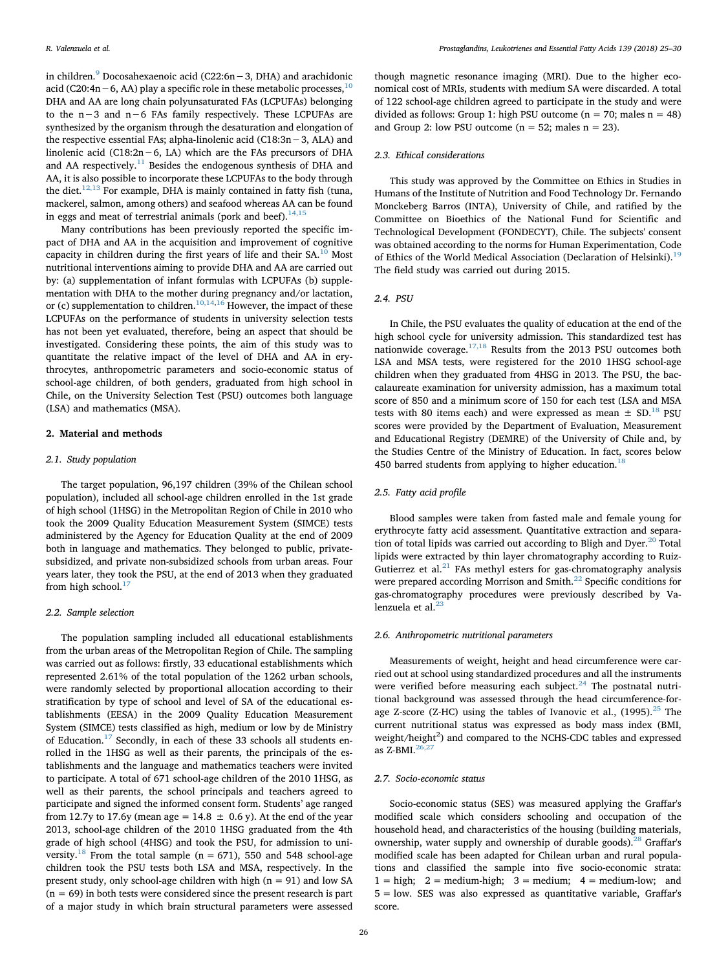in children.[9](#page-5-4) Docosahexaenoic acid (C22:6n−3, DHA) and arachidonic acid (C20:4n – 6, AA) play a specific role in these metabolic processes,<sup>[10](#page-5-5)</sup> DHA and AA are long chain polyunsaturated FAs (LCPUFAs) belonging to the n−3 and n−6 FAs family respectively. These LCPUFAs are synthesized by the organism through the desaturation and elongation of the respective essential FAs; alpha-linolenic acid (C18:3n−3, ALA) and linolenic acid (C18:2n−6, LA) which are the FAs precursors of DHA and AA respectively.<sup>11</sup> Besides the endogenous synthesis of DHA and AA, it is also possible to incorporate these LCPUFAs to the body through the diet.<sup>[12,13](#page-5-7)</sup> For example, DHA is mainly contained in fatty fish (tuna, mackerel, salmon, among others) and seafood whereas AA can be found in eggs and meat of terrestrial animals (pork and beef).  $14,15$ 

Many contributions has been previously reported the specific impact of DHA and AA in the acquisition and improvement of cognitive capacity in children during the first years of life and their SA.<sup>[10](#page-5-5)</sup> Most nutritional interventions aiming to provide DHA and AA are carried out by: (a) supplementation of infant formulas with LCPUFAs (b) supplementation with DHA to the mother during pregnancy and/or lactation, or (c) supplementation to children.<sup>[10,14](#page-5-5)[,16](#page-5-9)</sup> However, the impact of these LCPUFAs on the performance of students in university selection tests has not been yet evaluated, therefore, being an aspect that should be investigated. Considering these points, the aim of this study was to quantitate the relative impact of the level of DHA and AA in erythrocytes, anthropometric parameters and socio-economic status of school-age children, of both genders, graduated from high school in Chile, on the University Selection Test (PSU) outcomes both language (LSA) and mathematics (MSA).

# **2. Material and methods**

# *2.1. Study population*

The target population, 96,197 children (39% of the Chilean school population), included all school-age children enrolled in the 1st grade of high school (1HSG) in the Metropolitan Region of Chile in 2010 who took the 2009 Quality Education Measurement System (SIMCE) tests administered by the Agency for Education Quality at the end of 2009 both in language and mathematics. They belonged to public, privatesubsidized, and private non-subsidized schools from urban areas. Four years later, they took the PSU, at the end of 2013 when they graduated from high school. $17$ 

## *2.2. Sample selection*

The population sampling included all educational establishments from the urban areas of the Metropolitan Region of Chile. The sampling was carried out as follows: firstly, 33 educational establishments which represented 2.61% of the total population of the 1262 urban schools, were randomly selected by proportional allocation according to their stratification by type of school and level of SA of the educational establishments (EESA) in the 2009 Quality Education Measurement System (SIMCE) tests classified as high, medium or low by de Ministry of Education.<sup>17</sup> Secondly, in each of these 33 schools all students enrolled in the 1HSG as well as their parents, the principals of the establishments and the language and mathematics teachers were invited to participate. A total of 671 school-age children of the 2010 1HSG, as well as their parents, the school principals and teachers agreed to participate and signed the informed consent form. Students' age ranged from 12.7y to 17.6y (mean age =  $14.8 \pm 0.6$  y). At the end of the year 2013, school-age children of the 2010 1HSG graduated from the 4th grade of high school (4HSG) and took the PSU, for admission to uni-versity.<sup>[18](#page-5-11)</sup> From the total sample ( $n = 671$ ), 550 and 548 school-age children took the PSU tests both LSA and MSA, respectively. In the present study, only school-age children with high  $(n = 91)$  and low SA  $(n = 69)$  in both tests were considered since the present research is part of a major study in which brain structural parameters were assessed

though magnetic resonance imaging (MRI). Due to the higher economical cost of MRIs, students with medium SA were discarded. A total of 122 school-age children agreed to participate in the study and were divided as follows: Group 1: high PSU outcome ( $n = 70$ ; males  $n = 48$ ) and Group 2: low PSU outcome ( $n = 52$ ; males  $n = 23$ ).

## *2.3. Ethical considerations*

This study was approved by the Committee on Ethics in Studies in Humans of the Institute of Nutrition and Food Technology Dr. Fernando Monckeberg Barros (INTA), University of Chile, and ratified by the Committee on Bioethics of the National Fund for Scientific and Technological Development (FONDECYT), Chile. The subjects' consent was obtained according to the norms for Human Experimentation, Code of Ethics of the World Medical Association (Declaration of Helsinki).<sup>[19](#page-5-12)</sup> The field study was carried out during 2015.

# *2.4. PSU*

In Chile, the PSU evaluates the quality of education at the end of the high school cycle for university admission. This standardized test has nationwide coverage.[17,18](#page-5-10) Results from the 2013 PSU outcomes both LSA and MSA tests, were registered for the 2010 1HSG school-age children when they graduated from 4HSG in 2013. The PSU, the baccalaureate examination for university admission, has a maximum total score of 850 and a minimum score of 150 for each test (LSA and MSA tests with 80 items each) and were expressed as mean  $\pm$  SD.<sup>18</sup> PSU scores were provided by the Department of Evaluation, Measurement and Educational Registry (DEMRE) of the University of Chile and, by the Studies Centre of the Ministry of Education. In fact, scores below 450 barred students from applying to higher education.<sup>[18](#page-5-11)</sup>

# *2.5. Fatty acid profile*

Blood samples were taken from fasted male and female young for erythrocyte fatty acid assessment. Quantitative extraction and separation of total lipids was carried out according to Bligh and Dyer. $^{20}$  Total lipids were extracted by thin layer chromatography according to Ruiz-Gutierrez et al. $^{21}$  $^{21}$  $^{21}$  FAs methyl esters for gas-chromatography analysis were prepared according Morrison and Smith.<sup>[22](#page-5-15)</sup> Specific conditions for gas-chromatography procedures were previously described by Valenzuela et al. $<sup>2</sup>$ </sup>

## *2.6. Anthropometric nutritional parameters*

Measurements of weight, height and head circumference were carried out at school using standardized procedures and all the instruments were verified before measuring each subject. $24$  The postnatal nutritional background was assessed through the head circumference-forage Z-score (Z-HC) using the tables of Ivanovic et al.,  $(1995)$ .<sup>[25](#page-5-18)</sup> The current nutritional status was expressed as body mass index (BMI, weight/height<sup>2</sup>) and compared to the NCHS-CDC tables and expressed as  $Z$ -BMI. $^{26}$ 

## *2.7. Socio-economic status*

Socio-economic status (SES) was measured applying the Graffar's modified scale which considers schooling and occupation of the household head, and characteristics of the housing (building materials, ownership, water supply and ownership of durable goods).<sup>28</sup> Graffar's modified scale has been adapted for Chilean urban and rural populations and classified the sample into five socio-economic strata:  $1 = high$ ;  $2 = medium - high$ ;  $3 = medium$ ;  $4 = medium - low$ ; and 5 = low. SES was also expressed as quantitative variable, Graffar's score.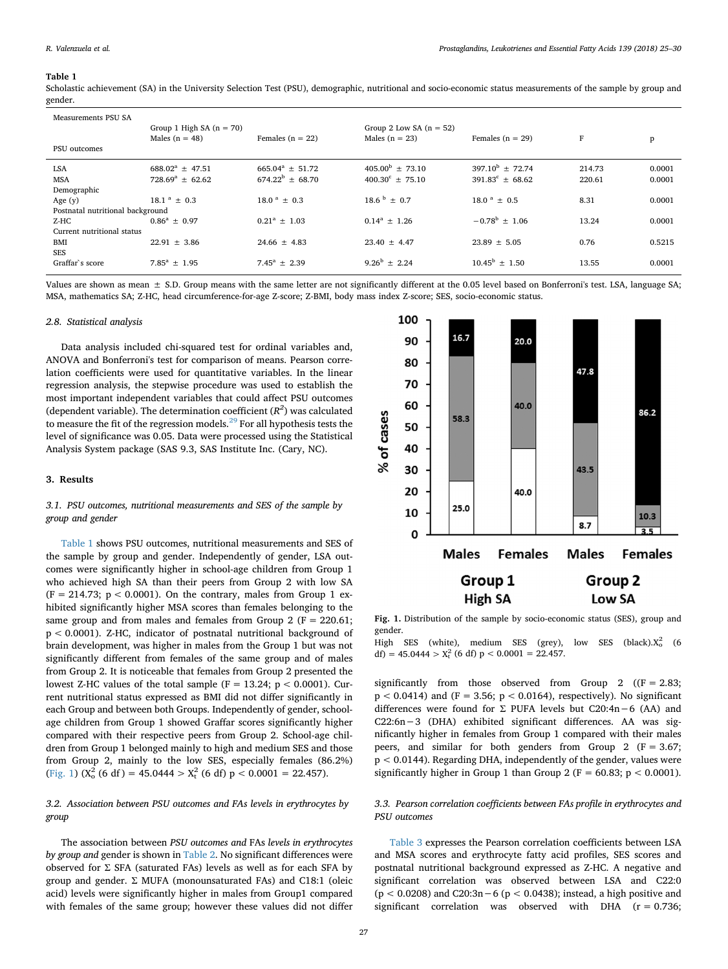#### <span id="page-2-0"></span>**Table 1**

Scholastic achievement (SA) in the University Selection Test (PSU), demographic, nutritional and socio-economic status measurements of the sample by group and gender.

| Measurements PSU SA<br>PSU outcomes | Group 1 High SA $(n = 70)$<br>Males $(n = 48)$ | Females $(n = 22)$      | Group 2 Low SA $(n = 52)$<br>Males $(n = 23)$ | Females $(n = 29)$       | F      | p      |
|-------------------------------------|------------------------------------------------|-------------------------|-----------------------------------------------|--------------------------|--------|--------|
| <b>LSA</b>                          | $688.02^a + 47.51$                             | $665.04^a \pm 51.72$    | $405.00^{\rm b} + 73.10$                      | $397.10^b$ + 72.74       | 214.73 | 0.0001 |
| <b>MSA</b>                          | $728.69^a \pm 62.62$                           | $674.22^b \pm 68.70$    | $400.30^{\circ} \pm 75.10$                    | $391.83^c \pm 68.62$     | 220.61 | 0.0001 |
| Demographic                         |                                                |                         |                                               |                          |        |        |
| Age $(y)$                           | $18.1^{\text{a}} \pm 0.3$                      | $18.0^{\text{a}} + 0.3$ | $18.6^{b} + 0.7$                              | $18.0^{\text{a}} + 0.5$  | 8.31   | 0.0001 |
| Postnatal nutritional background    |                                                |                         |                                               |                          |        |        |
| Z-HC                                | $0.86^a + 0.97$                                | $0.21^a + 1.03$         | $0.14^a + 1.26$                               | $-0.78^{\rm b}$ + 1.06   | 13.24  | 0.0001 |
| Current nutritional status          |                                                |                         |                                               |                          |        |        |
| <b>BMI</b>                          | $22.91 \pm 3.86$                               | $24.66 \pm 4.83$        | $23.40 \pm 4.47$                              | $23.89 \pm 5.05$         | 0.76   | 0.5215 |
| <b>SES</b>                          |                                                |                         |                                               |                          |        |        |
| Graffar's score                     | $7.85^a \pm 1.95$                              | $7.45^a \pm 2.39$       | $9.26^b + 2.24$                               | $10.45^{\rm b} \pm 1.50$ | 13.55  | 0.0001 |

Values are shown as mean  $\pm$  S.D. Group means with the same letter are not significantly different at the 0.05 level based on Bonferroni's test. LSA, language SA: MSA, mathematics SA; Z-HC, head circumference-for-age Z-score; Z-BMI, body mass index Z-score; SES, socio-economic status.

# *2.8. Statistical analysis*

Data analysis included chi-squared test for ordinal variables and, ANOVA and Bonferroni's test for comparison of means. Pearson correlation coefficients were used for quantitative variables. In the linear regression analysis, the stepwise procedure was used to establish the most important independent variables that could affect PSU outcomes (dependent variable). The determination coefficient (*R<sup>2</sup>* ) was calculated to measure the fit of the regression models.  $^{29}$  $^{29}$  $^{29}$  For all hypothesis tests the level of significance was 0.05. Data were processed using the Statistical Analysis System package (SAS 9.3, SAS Institute Inc. (Cary, NC).

# **3. Results**

# *3.1. PSU outcomes, nutritional measurements and SES of the sample by group and gender*

[Table 1](#page-2-0) shows PSU outcomes, nutritional measurements and SES of the sample by group and gender. Independently of gender, LSA outcomes were significantly higher in school-age children from Group 1 who achieved high SA than their peers from Group 2 with low SA  $(F = 214.73; p < 0.0001)$ . On the contrary, males from Group 1 exhibited significantly higher MSA scores than females belonging to the same group and from males and females from Group 2 ( $F = 220.61$ ; p < 0.0001). Z-HC, indicator of postnatal nutritional background of brain development, was higher in males from the Group 1 but was not significantly different from females of the same group and of males from Group 2. It is noticeable that females from Group 2 presented the lowest Z-HC values of the total sample ( $F = 13.24$ ;  $p < 0.0001$ ). Current nutritional status expressed as BMI did not differ significantly in each Group and between both Groups. Independently of gender, schoolage children from Group 1 showed Graffar scores significantly higher compared with their respective peers from Group 2. School-age children from Group 1 belonged mainly to high and medium SES and those from Group 2, mainly to the low SES, especially females (86.2%) ([Fig. 1\)](#page-2-1)  $(X_0^2 (6 df) = 45.0444 > X_t^2 (6 df) p < 0.0001 = 22.457$ ).

# *3.2. Association between PSU outcomes and FAs levels in erythrocytes by group*

The association between *PSU outcomes and* FAs *levels in erythrocytes by group and* gender is shown in [Table 2](#page-3-0). No significant differences were observed for Σ SFA (saturated FAs) levels as well as for each SFA by group and gender. Σ MUFA (monounsaturated FAs) and C18:1 (oleic acid) levels were significantly higher in males from Group1 compared with females of the same group; however these values did not differ

<span id="page-2-1"></span>

**Fig. 1.** Distribution of the sample by socio-economic status (SES), group and gender.

High SES (white), medium SES (grey), low SES (black). $X_0^2$  (6 df) =  $45.0444 > X_t^2$  (6 df) p <  $0.0001 = 22.457$ .

significantly from those observed from Group 2 ( $(F = 2.83;$  $p < 0.0414$ ) and (F = 3.56;  $p < 0.0164$ ), respectively). No significant differences were found for Σ PUFA levels but C20:4n−6 (AA) and C22:6n−3 (DHA) exhibited significant differences. AA was significantly higher in females from Group 1 compared with their males peers, and similar for both genders from Group 2 (F = 3.67;  $p < 0.0144$ ). Regarding DHA, independently of the gender, values were significantly higher in Group 1 than Group 2 ( $F = 60.83$ ;  $p < 0.0001$ ).

# *3.3. Pearson correlation coefficients between FAs profile in erythrocytes and PSU outcomes*

[Table 3](#page-4-0) expresses the Pearson correlation coefficients between LSA and MSA scores and erythrocyte fatty acid profiles, SES scores and postnatal nutritional background expressed as Z-HC. A negative and significant correlation was observed between LSA and C22:0 (p < 0.0208) and C20:3n−6 (p < 0.0438); instead, a high positive and significant correlation was observed with DHA (r = 0.736;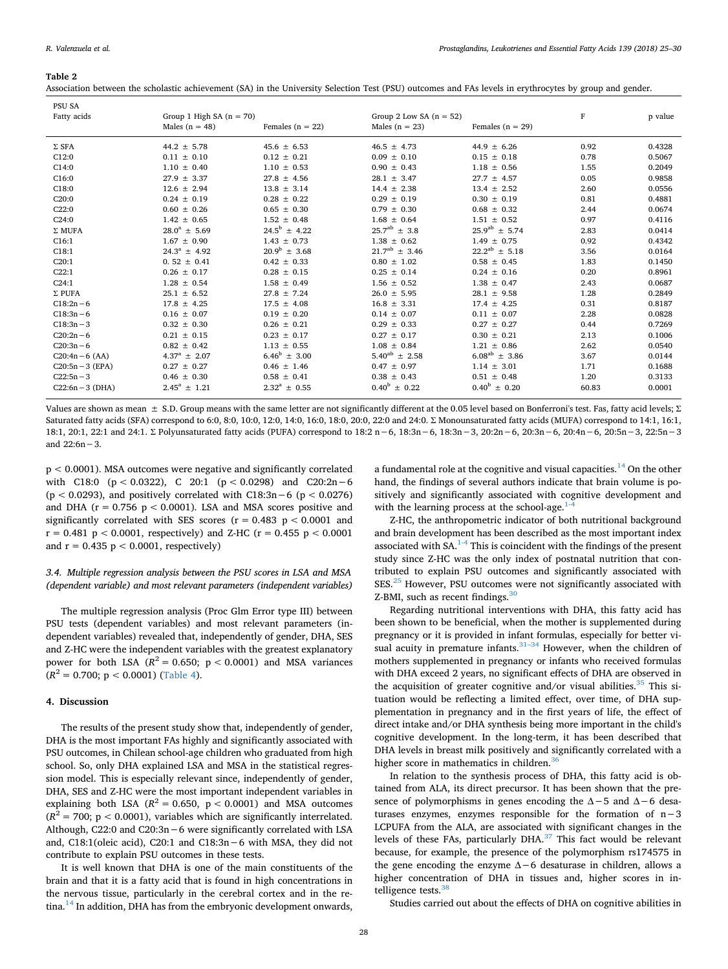## <span id="page-3-0"></span>**Table 2**

| Association between the scholastic achievement (SA) in the University Selection Test (PSU) outcomes and FAs levels in erythrocytes by group and gender. |  |  |  |
|---------------------------------------------------------------------------------------------------------------------------------------------------------|--|--|--|
|                                                                                                                                                         |  |  |  |

| PSU SA<br>Fatty acids | Group 1 High SA $(n = 70)$<br>Males $(n = 48)$ | Females ( $n = 22$ )    | Group 2 Low SA $(n = 52)$<br>Males $(n = 23)$ | Females ( $n = 29$ )    | F     | p value |
|-----------------------|------------------------------------------------|-------------------------|-----------------------------------------------|-------------------------|-------|---------|
| $\Sigma$ SFA          | $44.2 \pm 5.78$                                | $45.6 \pm 6.53$         | $46.5 \pm 4.73$                               | $44.9 \pm 6.26$         | 0.92  | 0.4328  |
| C12:0                 | $0.11 \pm 0.10$                                | $0.12 \pm 0.21$         | $0.09 \pm 0.10$                               | $0.15 \pm 0.18$         | 0.78  | 0.5067  |
| C14:0                 | $1.10 \pm 0.40$                                | $1.10 \pm 0.53$         | $0.90 \pm 0.43$                               | $1.18 \pm 0.56$         | 1.55  | 0.2049  |
| C16:0                 | $27.9 \pm 3.37$                                | $27.8 \pm 4.56$         | $28.1 \pm 3.47$                               | $27.7 \pm 4.57$         | 0.05  | 0.9858  |
| C18:0                 | $12.6 \pm 2.94$                                | $13.8 \pm 3.14$         | $14.4 \pm 2.38$                               | $13.4 \pm 2.52$         | 2.60  | 0.0556  |
| C20:0                 | $0.24 \pm 0.19$                                | $0.28 \pm 0.22$         | $0.29 \pm 0.19$                               | $0.30 \pm 0.19$         | 0.81  | 0.4881  |
| C22:0                 | $0.60 \pm 0.26$                                | $0.65 \pm 0.30$         | $0.79 \pm 0.30$                               | $0.68 \pm 0.32$         | 2.44  | 0.0674  |
| C24:0                 | $1.42 \pm 0.65$                                | $1.52 \pm 0.48$         | $1.68 \pm 0.64$                               | $1.51 \pm 0.52$         | 0.97  | 0.4116  |
| $\Sigma$ MUFA         | $28.0^a \pm 5.69$                              | $24.5^{\rm b} \pm 4.22$ | $25.7^{ab} \pm 3.8$                           | $25.9^{ab} \pm 5.74$    | 2.83  | 0.0414  |
| C16:1                 | $1.67 \pm 0.90$                                | $1.43 \pm 0.73$         | $1.38 \pm 0.62$                               | $1.49 \pm 0.75$         | 0.92  | 0.4342  |
| C18:1                 | $24.3^a \pm 4.92$                              | $20.9^b \pm 3.68$       | $21.7^{ab} \pm 3.46$                          | $22.2^{ab} \pm 5.18$    | 3.56  | 0.0164  |
| C20:1                 | $0.52 \pm 0.41$                                | $0.42 \pm 0.33$         | $0.80 \pm 1.02$                               | $0.58 \pm 0.45$         | 1.83  | 0.1450  |
| C22:1                 | $0.26 \pm 0.17$                                | $0.28 \pm 0.15$         | $0.25 \pm 0.14$                               | $0.24 \pm 0.16$         | 0.20  | 0.8961  |
| C24:1                 | $1.28 \pm 0.54$                                | $1.58 \pm 0.49$         | $1.56 \pm 0.52$                               | $1.38 \pm 0.47$         | 2.43  | 0.0687  |
| $\Sigma$ PUFA         | $25.1 \pm 6.52$                                | $27.8 \pm 7.24$         | $26.0 \pm 5.95$                               | $28.1 \pm 9.58$         | 1.28  | 0.2849  |
| $C18:2n-6$            | $17.8 \pm 4.25$                                | $17.5 \pm 4.08$         | $16.8 \pm 3.31$                               | $17.4 \pm 4.25$         | 0.31  | 0.8187  |
| $C18:3n-6$            | $0.16 \pm 0.07$                                | $0.19 \pm 0.20$         | $0.14 \pm 0.07$                               | $0.11 \pm 0.07$         | 2.28  | 0.0828  |
| $C18:3n-3$            | $0.32 \pm 0.30$                                | $0.26 \pm 0.21$         | $0.29 \pm 0.33$                               | $0.27 \pm 0.27$         | 0.44  | 0.7269  |
| $C20:2n-6$            | $0.21 \pm 0.15$                                | $0.23 \pm 0.17$         | $0.27 \pm 0.17$                               | $0.30 \pm 0.21$         | 2.13  | 0.1006  |
| $C20:3n-6$            | $0.82 \pm 0.42$                                | $1.13 \pm 0.55$         | $1.08 \pm 0.84$                               | $1.21 \pm 0.86$         | 2.62  | 0.0540  |
| $C20:4n-6$ (AA)       | $4.37^a \pm 2.07$                              | $6.46^{\rm b} \pm 3.00$ | $5.40^{ab} \pm 2.58$                          | $6.08^{ab} \pm 3.86$    | 3.67  | 0.0144  |
| $C20:5n-3$ (EPA)      | $0.27 \pm 0.27$                                | $0.46 \pm 1.46$         | $0.47 \pm 0.97$                               | $1.14 \pm 3.01$         | 1.71  | 0.1688  |
| $C22:5n-3$            | $0.46 \pm 0.30$                                | $0.58 \pm 0.41$         | $0.38 \pm 0.43$                               | $0.51 \pm 0.48$         | 1.20  | 0.3133  |
| $C22:6n-3$ (DHA)      | $2.45^a \pm 1.21$                              | $2.32^a \pm 0.55$       | $0.40^{\rm b} \pm 0.22$                       | $0.40^{\rm b} \pm 0.20$ | 60.83 | 0.0001  |
|                       |                                                |                         |                                               |                         |       |         |

Values are shown as mean  $\pm$  S.D. Group means with the same letter are not significantly different at the 0.05 level based on Bonferroni's test. Fas, fatty acid levels;  $\Sigma$ Saturated fatty acids (SFA) correspond to 6:0, 8:0, 10:0, 12:0, 14:0, 16:0, 18:0, 20:0, 22:0 and 24:0. Σ Monounsaturated fatty acids (MUFA) correspond to 14:1, 16:1, 18:1, 20:1, 22:1 and 24:1. Σ Polyunsaturated fatty acids (PUFA) correspond to 18:2 n−6, 18:3n−6, 18:3n−3, 20:2n−6, 20:3n−6, 20:4n−6, 20:5n−3, 22:5n−3 and 22:6n−3.

p < 0.0001). MSA outcomes were negative and significantly correlated with C18:0 (p < 0.0322), C 20:1 (p < 0.0298) and C20:2n−6 (p < 0.0293), and positively correlated with  $C18:3n-6$  (p < 0.0276) and DHA ( $r = 0.756$  p < 0.0001). LSA and MSA scores positive and significantly correlated with SES scores ( $r = 0.483$  p < 0.0001 and  $r = 0.481$  p < 0.0001, respectively) and Z-HC ( $r = 0.455$  p < 0.0001 and  $r = 0.435$  p < 0.0001, respectively)

# *3.4. Multiple regression analysis between the PSU scores in LSA and MSA (dependent variable) and most relevant parameters (independent variables)*

The multiple regression analysis (Proc Glm Error type III) between PSU tests (dependent variables) and most relevant parameters (independent variables) revealed that, independently of gender, DHA, SES and Z-HC were the independent variables with the greatest explanatory power for both LSA  $(R^2 = 0.650; p < 0.0001)$  and MSA variances  $(R^2 = 0.700; p < 0.0001)$  ([Table 4](#page-4-1)).

# **4. Discussion**

The results of the present study show that, independently of gender, DHA is the most important FAs highly and significantly associated with PSU outcomes, in Chilean school-age children who graduated from high school. So, only DHA explained LSA and MSA in the statistical regression model. This is especially relevant since, independently of gender, DHA, SES and Z-HC were the most important independent variables in explaining both LSA  $(R^2 = 0.650, p < 0.0001)$  and MSA outcomes  $(R<sup>2</sup> = 700$ ; p < 0.0001), variables which are significantly interrelated. Although, C22:0 and C20:3n−6 were significantly correlated with LSA and, C18:1(oleic acid), C20:1 and C18:3n−6 with MSA, they did not contribute to explain PSU outcomes in these tests.

It is well known that DHA is one of the main constituents of the brain and that it is a fatty acid that is found in high concentrations in the nervous tissue, particularly in the cerebral cortex and in the re-tina.<sup>[14](#page-5-8)</sup> In addition, DHA has from the embryonic development onwards,

a fundamental role at the cognitive and visual capacities.<sup>[14](#page-5-8)</sup> On the other hand, the findings of several authors indicate that brain volume is positively and significantly associated with cognitive development and with the learning process at the school-age. $1-4$ 

Z-HC, the anthropometric indicator of both nutritional background and brain development has been described as the most important index associated with  $SA^{1-4}$ . This is coincident with the findings of the present study since Z-HC was the only index of postnatal nutrition that contributed to explain PSU outcomes and significantly associated with SES.<sup>[25](#page-5-18)</sup> However, PSU outcomes were not significantly associated with Z-BMI, such as recent findings.<sup>[30](#page-5-22)</sup>

Regarding nutritional interventions with DHA, this fatty acid has been shown to be beneficial, when the mother is supplemented during pregnancy or it is provided in infant formulas, especially for better visual acuity in premature infants. $31-34$  However, when the children of mothers supplemented in pregnancy or infants who received formulas with DHA exceed 2 years, no significant effects of DHA are observed in the acquisition of greater cognitive and/or visual abilities. $35$  This situation would be reflecting a limited effect, over time, of DHA supplementation in pregnancy and in the first years of life, the effect of direct intake and/or DHA synthesis being more important in the child's cognitive development. In the long-term, it has been described that DHA levels in breast milk positively and significantly correlated with a higher score in mathematics in children.<sup>3</sup>

In relation to the synthesis process of DHA, this fatty acid is obtained from ALA, its direct precursor. It has been shown that the presence of polymorphisms in genes encoding the  $\Delta$ -5 and  $\Delta$ -6 desaturases enzymes, enzymes responsible for the formation of n−3 LCPUFA from the ALA, are associated with significant changes in the levels of these FAs, particularly DHA.[37](#page-5-26) This fact would be relevant because, for example, the presence of the polymorphism rs174575 in the gene encoding the enzyme Δ−6 desaturase in children, allows a higher concentration of DHA in tissues and, higher scores in intelligence tests.<sup>38</sup>

Studies carried out about the effects of DHA on cognitive abilities in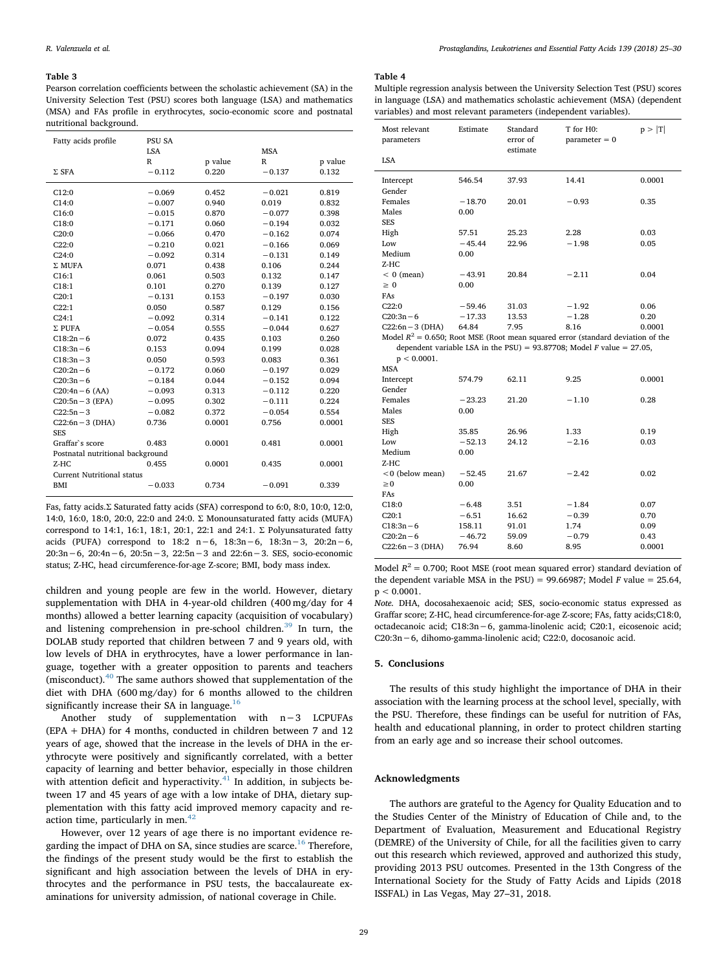#### <span id="page-4-0"></span>**Table 3**

Pearson correlation coefficients between the scholastic achievement (SA) in the University Selection Test (PSU) scores both language (LSA) and mathematics (MSA) and FAs profile in erythrocytes, socio-economic score and postnatal nutritional background.

| Fatty acids profile               | <b>PSU SA</b><br><b>LSA</b> |         | <b>MSA</b> |         |  |  |
|-----------------------------------|-----------------------------|---------|------------|---------|--|--|
|                                   | $\mathbb{R}$                | p value | R          | p value |  |  |
| $\Sigma$ SFA                      | $-0.112$                    | 0.220   | $-0.137$   | 0.132   |  |  |
| C12:0                             | $-0.069$                    | 0.452   | $-0.021$   | 0.819   |  |  |
| C14:0                             | $-0.007$                    | 0.940   | 0.019      | 0.832   |  |  |
| C16:0                             | $-0.015$                    | 0.870   | $-0.077$   | 0.398   |  |  |
| C18:0                             | $-0.171$                    | 0.060   | $-0.194$   | 0.032   |  |  |
| C20:0                             | $-0.066$                    | 0.470   | $-0.162$   | 0.074   |  |  |
| C22:0                             | $-0.210$                    | 0.021   | $-0.166$   | 0.069   |  |  |
| C24:0                             | $-0.092$                    | 0.314   | $-0.131$   | 0.149   |  |  |
| $\Sigma$ MUFA                     | 0.071                       | 0.438   | 0.106      | 0.244   |  |  |
| C16:1                             | 0.061                       | 0.503   | 0.132      | 0.147   |  |  |
| C18:1                             | 0.101                       | 0.270   | 0.139      | 0.127   |  |  |
| C20:1                             | $-0.131$                    | 0.153   | $-0.197$   | 0.030   |  |  |
| C22:1                             | 0.050                       | 0.587   | 0.129      | 0.156   |  |  |
| C24:1                             | $-0.092$                    | 0.314   | $-0.141$   | 0.122   |  |  |
| $\Sigma$ PUFA                     | $-0.054$                    | 0.555   | $-0.044$   | 0.627   |  |  |
| $C18:2n-6$                        | 0.072                       | 0.435   | 0.103      | 0.260   |  |  |
| $C18:3n-6$                        | 0.153                       | 0.094   | 0.199      | 0.028   |  |  |
| $C18:3n-3$                        | 0.050                       | 0.593   | 0.083      | 0.361   |  |  |
| $C20:2n-6$                        | $-0.172$                    | 0.060   | $-0.197$   | 0.029   |  |  |
| $C20:3n-6$                        | $-0.184$                    | 0.044   | $-0.152$   | 0.094   |  |  |
| $C20:4n-6$ (AA)                   | $-0.093$                    | 0.313   | $-0.112$   | 0.220   |  |  |
| $C20:5n-3$ (EPA)                  | $-0.095$                    | 0.302   | $-0.111$   | 0.224   |  |  |
| $C22:5n-3$                        | $-0.082$                    | 0.372   | $-0.054$   | 0.554   |  |  |
| $C22:6n-3$ (DHA)                  | 0.736                       | 0.0001  | 0.756      | 0.0001  |  |  |
| <b>SES</b>                        |                             |         |            |         |  |  |
| Graffar's score                   | 0.483                       | 0.0001  | 0.481      | 0.0001  |  |  |
| Postnatal nutritional background  |                             |         |            |         |  |  |
| $Z-HC$                            | 0.455                       | 0.0001  | 0.435      | 0.0001  |  |  |
| <b>Current Nutritional status</b> |                             |         |            |         |  |  |
| <b>BMI</b>                        | $-0.033$                    | 0.734   | $-0.091$   | 0.339   |  |  |

Fas, fatty acids.Σ Saturated fatty acids (SFA) correspond to 6:0, 8:0, 10:0, 12:0, 14:0, 16:0, 18:0, 20:0, 22:0 and 24:0. Σ Monounsaturated fatty acids (MUFA) correspond to 14:1, 16:1, 18:1, 20:1, 22:1 and 24:1. Σ Polyunsaturated fatty acids (PUFA) correspond to 18:2 n−6, 18:3n−6, 18:3n−3, 20:2n−6, 20:3n−6, 20:4n−6, 20:5n−3, 22:5n−3 and 22:6n−3. SES, socio-economic status; Z-HC, head circumference-for-age Z-score; BMI, body mass index.

children and young people are few in the world. However, dietary supplementation with DHA in 4-year-old children (400 mg/day for 4 months) allowed a better learning capacity (acquisition of vocabulary) and listening comprehension in pre-school children.<sup>[39](#page-5-28)</sup> In turn, the DOLAB study reported that children between 7 and 9 years old, with low levels of DHA in erythrocytes, have a lower performance in language, together with a greater opposition to parents and teachers (misconduct).[40](#page-5-29) The same authors showed that supplementation of the diet with DHA (600 mg/day) for 6 months allowed to the children significantly increase their SA in language. $16$ 

Another study of supplementation with n−3 LCPUFAs (EPA + DHA) for 4 months, conducted in children between 7 and 12 years of age, showed that the increase in the levels of DHA in the erythrocyte were positively and significantly correlated, with a better capacity of learning and better behavior, especially in those children with attention deficit and hyperactivity. $41$  In addition, in subjects between 17 and 45 years of age with a low intake of DHA, dietary supplementation with this fatty acid improved memory capacity and reaction time, particularly in men. $42$ 

However, over 12 years of age there is no important evidence re-garding the impact of DHA on SA, since studies are scarce.<sup>[16](#page-5-9)</sup> Therefore, the findings of the present study would be the first to establish the significant and high association between the levels of DHA in erythrocytes and the performance in PSU tests, the baccalaureate examinations for university admission, of national coverage in Chile.

## <span id="page-4-1"></span>**Table 4**

Multiple regression analysis between the University Selection Test (PSU) scores in language (LSA) and mathematics scholastic achievement (MSA) (dependent variables) and most relevant parameters (independent variables).

| Most relevant<br>parameters                                                       | Estimate                                                                 | Standard<br>error of<br>estimate | T for H0:<br>$parameter = 0$ | p >  T |  |  |
|-----------------------------------------------------------------------------------|--------------------------------------------------------------------------|----------------------------------|------------------------------|--------|--|--|
| <b>LSA</b>                                                                        |                                                                          |                                  |                              |        |  |  |
| Intercept                                                                         | 546.54                                                                   | 37.93                            | 14.41                        | 0.0001 |  |  |
| Gender                                                                            |                                                                          |                                  |                              |        |  |  |
| Females                                                                           | $-18.70$                                                                 | 20.01                            | $-0.93$                      | 0.35   |  |  |
| Males                                                                             | 0.00                                                                     |                                  |                              |        |  |  |
| <b>SES</b>                                                                        |                                                                          |                                  |                              |        |  |  |
| High                                                                              | 57.51                                                                    | 25.23                            | 2.28                         | 0.03   |  |  |
| Low                                                                               | $-45.44$                                                                 | 22.96                            | $-1.98$                      | 0.05   |  |  |
| Medium                                                                            | 0.00                                                                     |                                  |                              |        |  |  |
| $Z-HC$                                                                            |                                                                          |                                  |                              |        |  |  |
| $< 0$ (mean)                                                                      | $-43.91$                                                                 | 20.84                            | $-2.11$                      | 0.04   |  |  |
| $\geq 0$                                                                          | 0.00                                                                     |                                  |                              |        |  |  |
| FAs                                                                               |                                                                          |                                  |                              |        |  |  |
| C22:0                                                                             | $-59.46$                                                                 | 31.03                            | $-1.92$                      | 0.06   |  |  |
| $C20:3n-6$                                                                        | $-17.33$                                                                 | 13.53                            | $-1.28$                      | 0.20   |  |  |
| $C22:6n-3$ (DHA)                                                                  | 64.84                                                                    | 7.95                             | 8.16                         | 0.0001 |  |  |
| Model $R^2$ = 0.650; Root MSE (Root mean squared error (standard deviation of the |                                                                          |                                  |                              |        |  |  |
|                                                                                   | dependent variable LSA in the PSU) = 93.87708; Model F value = $27.05$ , |                                  |                              |        |  |  |
| $p < 0.0001$ .                                                                    |                                                                          |                                  |                              |        |  |  |
| <b>MSA</b>                                                                        |                                                                          |                                  |                              |        |  |  |
| Intercept                                                                         | 574.79                                                                   | 62.11                            | 9.25                         | 0.0001 |  |  |
| Gender                                                                            |                                                                          |                                  |                              |        |  |  |
| Females                                                                           | $-23.23$                                                                 | 21.20                            | $-1.10$                      | 0.28   |  |  |
| Males                                                                             | 0.00                                                                     |                                  |                              |        |  |  |
| <b>SES</b>                                                                        |                                                                          |                                  |                              |        |  |  |
| High                                                                              | 35.85                                                                    | 26.96                            | 1.33                         | 0.19   |  |  |

 $C20:2n-6$  −46.72 59.09 −0.79 0.43 C22:6n−3 (DHA) 76.94 8.60 8.95 0.0001 Model  $R^2 = 0.700$ ; Root MSE (root mean squared error) standard deviation of the dependent variable MSA in the PSU) = 99.66987; Model *F* value = 25.64,  $p < 0.0001$ . *Note.* DHA, docosahexaenoic acid; SES, socio-economic status expressed as Graffar score; Z-HC, head circumference-for-age Z-score; FAs, fatty acids;C18:0, octadecanoic acid; C18:3n−6, gamma-linolenic acid; C20:1, eicosenoic acid;

C20:3n−6, dihomo-gamma-linolenic acid; C22:0, docosanoic acid.

Low  $-52.13$  24.12  $-2.16$  0.03

<0 (below mean) −52.45 21.67 −2.42 0.02

 $C18:0$   $-6.48$   $3.51$   $-1.84$   $0.07$  $C20:1$   $-6.51$   $16.62$   $-0.39$  0.70 C18:3n − 6 158.11 91.01 1.74 0.09<br>
C20:2n − 6 − 46.72 59.09 − 0.79 0.43

#### **5. Conclusions**

Medium 0.00

 $\geq 0$  0.00

Z-HC

FAs

The results of this study highlight the importance of DHA in their association with the learning process at the school level, specially, with the PSU. Therefore, these findings can be useful for nutrition of FAs, health and educational planning, in order to protect children starting from an early age and so increase their school outcomes.

# **Acknowledgments**

The authors are grateful to the Agency for Quality Education and to the Studies Center of the Ministry of Education of Chile and, to the Department of Evaluation, Measurement and Educational Registry (DEMRE) of the University of Chile, for all the facilities given to carry out this research which reviewed, approved and authorized this study, providing 2013 PSU outcomes. Presented in the 13th Congress of the International Society for the Study of Fatty Acids and Lipids (2018 ISSFAL) in Las Vegas, May 27–31, 2018.